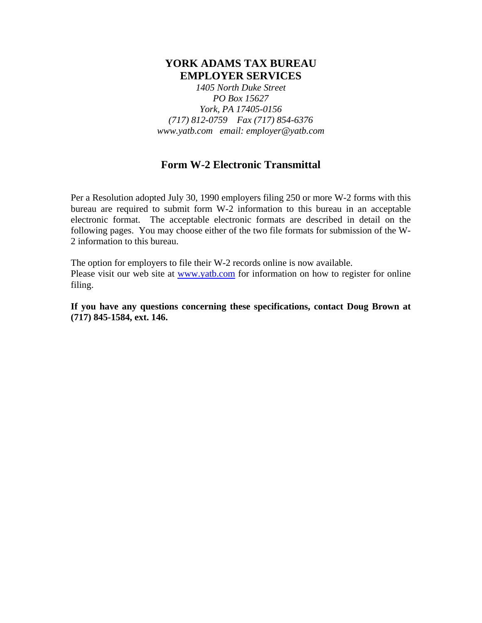# **YORK ADAMS TAX BUREAU EMPLOYER SERVICES**

*1405 North Duke Street PO Box 15627 York, PA 17405-0156 (717) 812-0759 Fax (717) 854-6376 www.yatb.com email: employer@yatb.com*

## **Form W-2 Electronic Transmittal**

Per a Resolution adopted July 30, 1990 employers filing 250 or more W-2 forms with this bureau are required to submit form W-2 information to this bureau in an acceptable electronic format. The acceptable electronic formats are described in detail on the following pages. You may choose either of the two file formats for submission of the W-2 information to this bureau.

The option for employers to file their W-2 records online is now available. Please visit our web site at www.yatb.com for information on how to register for online filing.

**If you have any questions concerning these specifications, contact Doug Brown at (717) 845-1584, ext. 146.**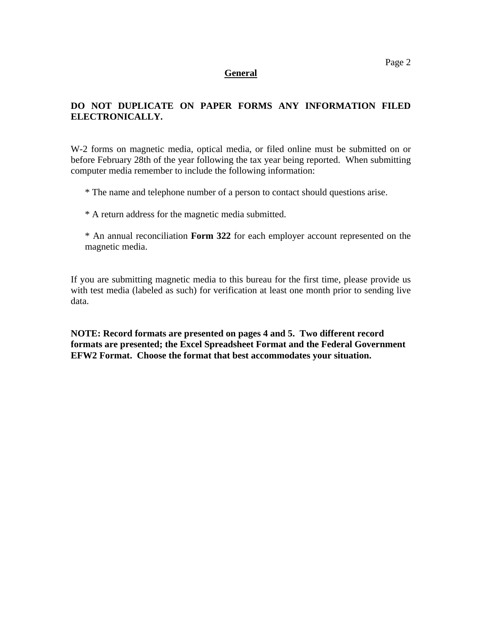#### **General**

## **DO NOT DUPLICATE ON PAPER FORMS ANY INFORMATION FILED ELECTRONICALLY.**

W-2 forms on magnetic media, optical media, or filed online must be submitted on or before February 28th of the year following the tax year being reported. When submitting computer media remember to include the following information:

\* The name and telephone number of a person to contact should questions arise.

\* A return address for the magnetic media submitted.

\* An annual reconciliation **Form 322** for each employer account represented on the magnetic media.

If you are submitting magnetic media to this bureau for the first time, please provide us with test media (labeled as such) for verification at least one month prior to sending live data.

**NOTE: Record formats are presented on pages 4 and 5. Two different record formats are presented; the Excel Spreadsheet Format and the Federal Government EFW2 Format. Choose the format that best accommodates your situation.**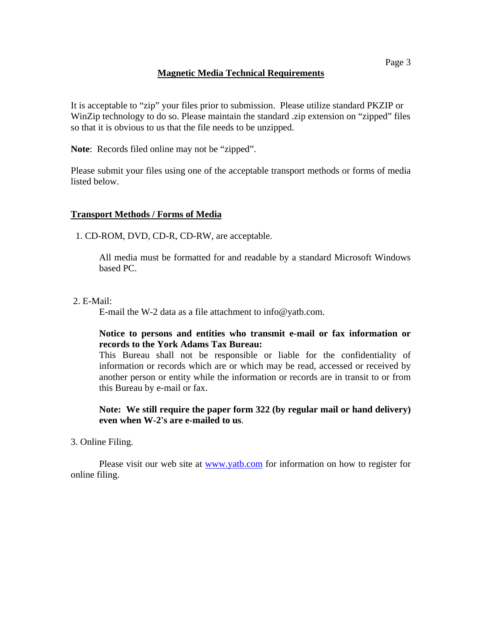## **Magnetic Media Technical Requirements**

It is acceptable to "zip" your files prior to submission. Please utilize standard PKZIP or WinZip technology to do so. Please maintain the standard .zip extension on "zipped" files so that it is obvious to us that the file needs to be unzipped.

**Note**: Records filed online may not be "zipped".

Please submit your files using one of the acceptable transport methods or forms of media listed below.

## **Transport Methods / Forms of Media**

1. CD-ROM, DVD, CD-R, CD-RW, are acceptable.

All media must be formatted for and readable by a standard Microsoft Windows based PC.

2. E-Mail:

E-mail the W-2 data as a file attachment to info@yatb.com.

#### **Notice to persons and entities who transmit e-mail or fax information or records to the York Adams Tax Bureau:**

This Bureau shall not be responsible or liable for the confidentiality of information or records which are or which may be read, accessed or received by another person or entity while the information or records are in transit to or from this Bureau by e-mail or fax.

## **Note: We still require the paper form 322 (by regular mail or hand delivery) even when W-2's are e-mailed to us**.

#### 3. Online Filing.

 Please visit our web site at www.yatb.com for information on how to register for online filing.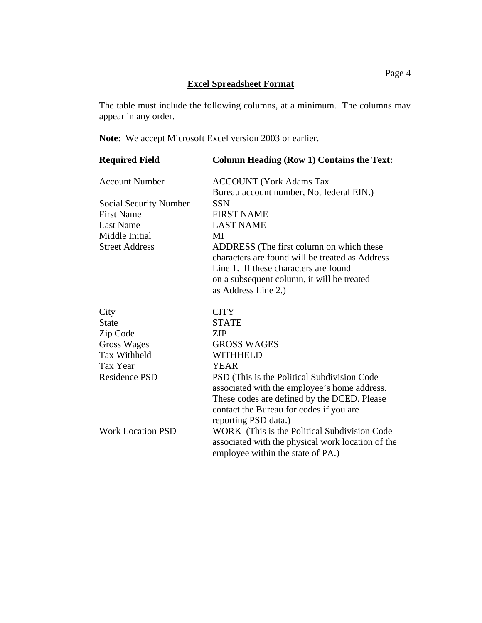## **Excel Spreadsheet Format**

The table must include the following columns, at a minimum. The columns may appear in any order.

**Note**: We accept Microsoft Excel version 2003 or earlier.

| <b>Required Field</b>         | <b>Column Heading (Row 1) Contains the Text:</b>  |  |
|-------------------------------|---------------------------------------------------|--|
| <b>Account Number</b>         | <b>ACCOUNT</b> (York Adams Tax                    |  |
|                               | Bureau account number, Not federal EIN.)          |  |
| <b>Social Security Number</b> | <b>SSN</b>                                        |  |
| <b>First Name</b>             | <b>FIRST NAME</b>                                 |  |
| <b>Last Name</b>              | <b>LAST NAME</b>                                  |  |
| Middle Initial                | MI                                                |  |
| <b>Street Address</b>         | ADDRESS (The first column on which these          |  |
|                               | characters are found will be treated as Address   |  |
|                               | Line 1. If these characters are found             |  |
|                               | on a subsequent column, it will be treated        |  |
|                               | as Address Line 2.)                               |  |
| City                          | <b>CITY</b>                                       |  |
| <b>State</b>                  | <b>STATE</b>                                      |  |
| Zip Code                      | <b>ZIP</b>                                        |  |
| Gross Wages                   | <b>GROSS WAGES</b>                                |  |
| <b>Tax Withheld</b>           | <b>WITHHELD</b>                                   |  |
| Tax Year                      | YEAR                                              |  |
| <b>Residence PSD</b>          | PSD (This is the Political Subdivision Code)      |  |
|                               | associated with the employee's home address.      |  |
|                               | These codes are defined by the DCED. Please       |  |
|                               | contact the Bureau for codes if you are           |  |
|                               | reporting PSD data.)                              |  |
| <b>Work Location PSD</b>      | WORK (This is the Political Subdivision Code      |  |
|                               | associated with the physical work location of the |  |
|                               | employee within the state of PA.)                 |  |